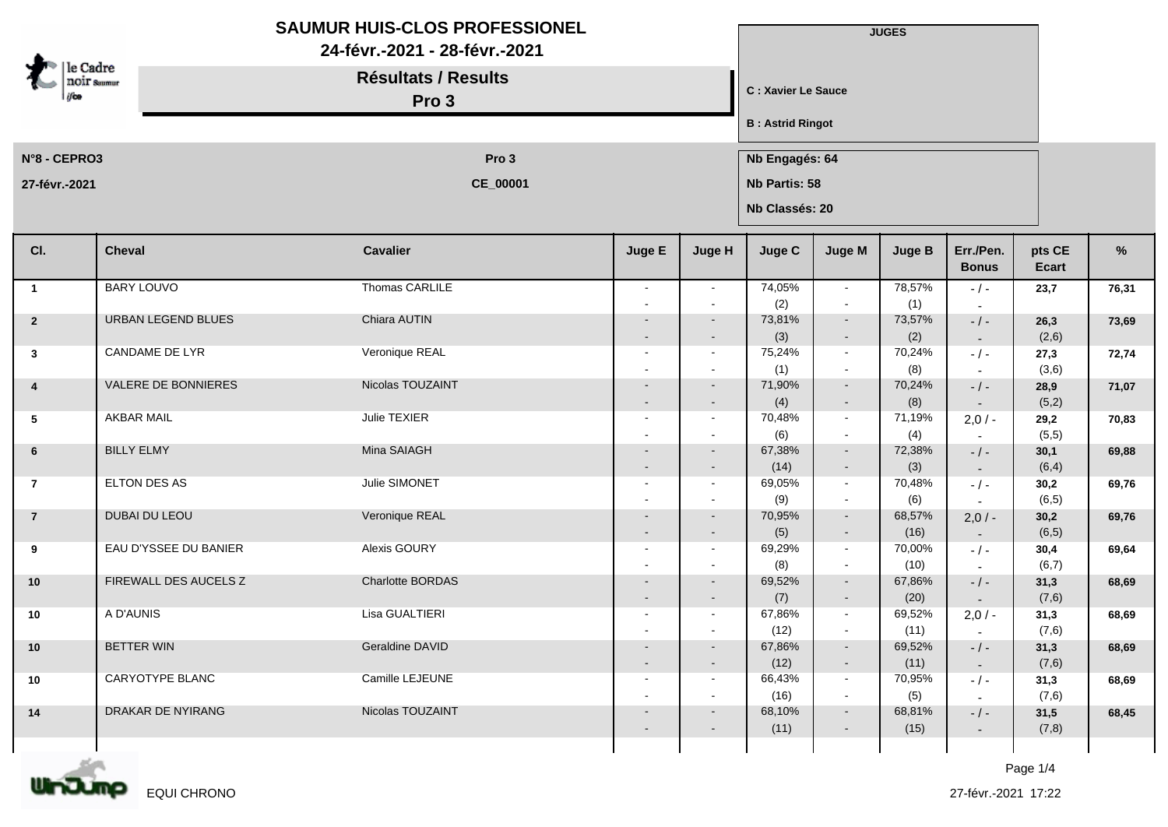|                                |                       | <b>SAUMUR HUIS-CLOS PROFESSIONEL</b><br>24-févr.-2021 - 28-févr.-2021<br><b>Résultats / Results</b><br>Pro 3 |                                  |                  |                         |                                 | <b>JUGES</b><br>C : Xavier Le Sauce |                           |                 |       |  |  |
|--------------------------------|-----------------------|--------------------------------------------------------------------------------------------------------------|----------------------------------|------------------|-------------------------|---------------------------------|-------------------------------------|---------------------------|-----------------|-------|--|--|
| le Cadre<br><b>NOIF Summur</b> |                       |                                                                                                              |                                  |                  |                         |                                 |                                     |                           |                 |       |  |  |
|                                |                       |                                                                                                              |                                  |                  | <b>B: Astrid Ringot</b> |                                 |                                     |                           |                 |       |  |  |
| N°8 - CEPRO3                   |                       | Pro 3                                                                                                        |                                  |                  |                         |                                 | Nb Engagés: 64                      |                           |                 |       |  |  |
| 27-févr.-2021                  |                       | CE_00001                                                                                                     |                                  |                  |                         | Nb Partis: 58<br>Nb Classés: 20 |                                     |                           |                 |       |  |  |
| CI.                            | <b>Cheval</b>         | <b>Cavalier</b>                                                                                              | Juge E                           | Juge H           | Juge C                  | Juge M                          | <b>Juge B</b>                       | Err./Pen.<br><b>Bonus</b> | pts CE<br>Ecart | %     |  |  |
| $\overline{\mathbf{1}}$        | <b>BARY LOUVO</b>     | Thomas CARLILE                                                                                               |                                  | $\sim$           | 74,05%                  | $\sim$                          | 78,57%                              | $-/-$                     | 23,7            | 76,31 |  |  |
| $\overline{2}$                 | URBAN LEGEND BLUES    | Chiara AUTIN                                                                                                 |                                  |                  | (2)<br>73,81%           | $\blacksquare$<br>$\sim$        | (1)<br>73,57%                       | $-/-$                     | 26,3            | 73,69 |  |  |
|                                |                       |                                                                                                              |                                  | $\sim$           | (3)                     | $\sim$                          | (2)                                 | $\sim$                    | (2,6)           |       |  |  |
| $\mathbf{3}$                   | CANDAME DE LYR        | Veronique REAL                                                                                               |                                  |                  | 75,24%<br>(1)           | $\sim$<br>$\sim$                | 70,24%<br>(8)                       | $-/-$                     | 27,3<br>(3,6)   | 72,74 |  |  |
| $\overline{4}$                 | VALERE DE BONNIERES   | Nicolas TOUZAINT                                                                                             |                                  | $\sim$           | 71,90%                  | $\sim$                          | 70,24%                              | $-/-$                     | 28,9            | 71,07 |  |  |
| $5^{\circ}$                    | <b>AKBAR MAIL</b>     | Julie TEXIER                                                                                                 |                                  | $\sim$<br>$\sim$ | (4)<br>70,48%           | $\sim$<br>$\sim$                | (8)<br>71,19%                       | $\sim$<br>$2,0/-$         | (5,2)<br>29,2   | 70,83 |  |  |
|                                |                       |                                                                                                              |                                  |                  | (6)                     | $\sim$                          | (4)                                 |                           | (5,5)           |       |  |  |
| 6                              | <b>BILLY ELMY</b>     | Mina SAIAGH                                                                                                  |                                  | $\sim$           | 67,38%                  | $\sim$                          | 72,38%                              | $-$ / $-$                 | 30,1            | 69,88 |  |  |
| $\overline{7}$                 | ELTON DES AS          | Julie SIMONET                                                                                                | $\qquad \qquad$                  | $\sim$<br>$\sim$ | (14)<br>69,05%          | $\sim$<br>$\sim$                | (3)<br>70,48%                       | $\sim$<br>$-/-$           | (6, 4)<br>30,2  | 69,76 |  |  |
|                                |                       |                                                                                                              |                                  |                  | (9)                     | $\sim$                          | (6)                                 | $\sim$                    | (6, 5)          |       |  |  |
| $\overline{7}$                 | DUBAI DU LEOU         | Veronique REAL                                                                                               |                                  |                  | 70,95%<br>(5)           | $\sim$<br>$\blacksquare$        | 68,57%<br>(16)                      | $2,0/-$                   | 30,2<br>(6, 5)  | 69,76 |  |  |
| 9                              | EAU D'YSSEE DU BANIER | Alexis GOURY                                                                                                 | $\overline{\phantom{a}}$         | $\sim$           | 69,29%                  | $\sim$                          | 70,00%                              | $\sim$<br>$-/-$           | 30,4            | 69,64 |  |  |
|                                |                       |                                                                                                              |                                  |                  | (8)                     | $\sim$                          | (10)                                | $\sim$                    | (6,7)           |       |  |  |
| 10                             | FIREWALL DES AUCELS Z | Charlotte BORDAS                                                                                             |                                  |                  | 69,52%<br>(7)           | $\sim$<br>$\blacksquare$        | 67,86%<br>(20)                      | $-/-$                     | 31,3<br>(7,6)   | 68,69 |  |  |
| 10                             | A D'AUNIS             | Lisa GUALTIERI                                                                                               | $\sim$                           |                  | 67,86%                  | $\sim$                          | 69,52%                              | $2,0/-$                   | 31,3            | 68,69 |  |  |
|                                |                       |                                                                                                              |                                  |                  | (12)                    | $\blacksquare$                  | (11)                                |                           | (7,6)           |       |  |  |
| $10$                           | <b>BETTER WIN</b>     | Geraldine DAVID                                                                                              | $\blacksquare$<br>$\blacksquare$ | $\sim$<br>$\sim$ | 67,86%<br>(12)          | $\sim$<br>$\sim$                | 69,52%<br>(11)                      | $- / -$<br>$\sim$         | 31,3<br>(7,6)   | 68,69 |  |  |
| 10                             | CARYOTYPE BLANC       | Camille LEJEUNE                                                                                              | $\sim$                           | $\sim$           | 66,43%                  | $\sim$                          | 70,95%                              | $-/-$                     | 31,3            | 68,69 |  |  |
| 14                             | DRAKAR DE NYIRANG     | Nicolas TOUZAINT                                                                                             |                                  | $\sim$           | (16)<br>68,10%          | $\sim$<br>$\sim$                | (5)<br>68,81%                       | $\sim$<br>$-/-$           | (7,6)<br>31,5   | 68,45 |  |  |
|                                |                       |                                                                                                              |                                  | $\sim$           | (11)                    | $\sim$                          | (15)                                | $\sim$                    | (7,8)           |       |  |  |
|                                |                       |                                                                                                              |                                  |                  |                         |                                 |                                     |                           |                 |       |  |  |

m nJJ EQUI CHRONO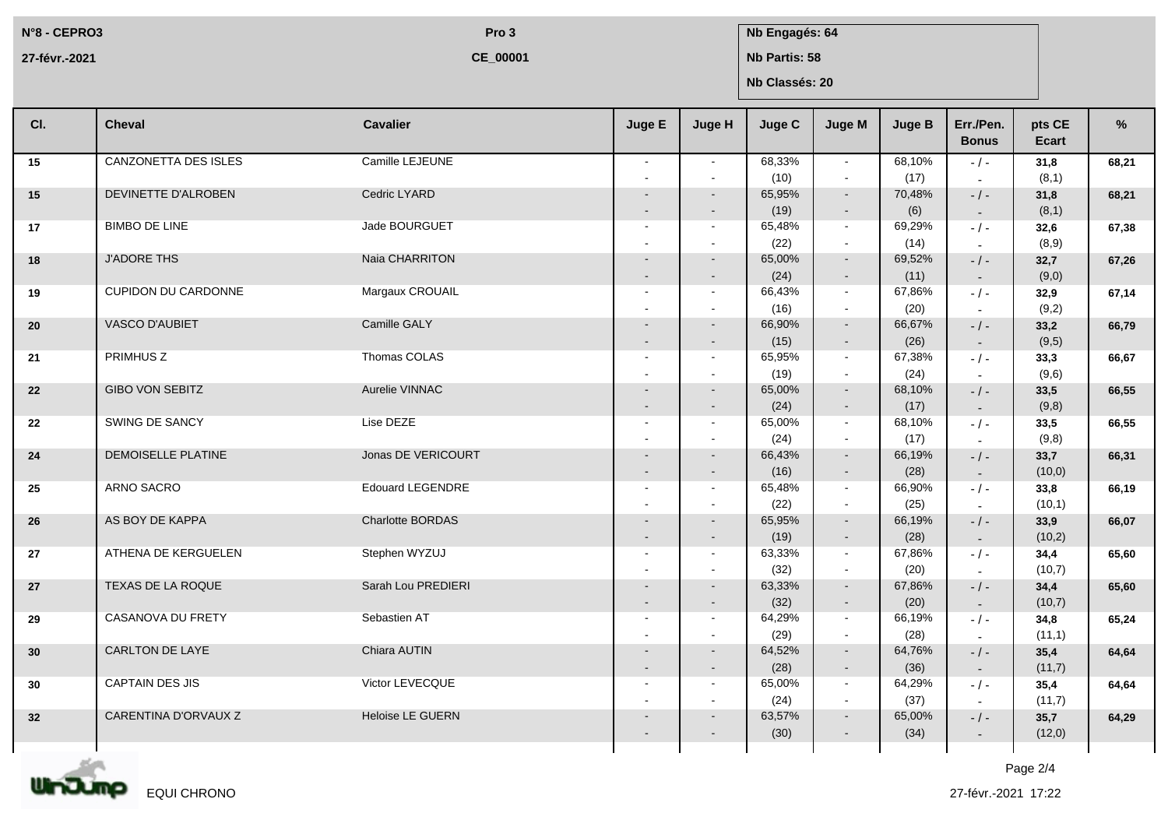**N°8 - CEPRO3 27-févr.-2021**

**CE\_00001**

## **Pro 3 Nb Engagés: 64**

**Nb Partis: 58**

**Nb Classés: 20**

| CI.             | <b>Cheval</b>               | <b>Cavalier</b>         | Juge E                   | Juge H                   | <b>Juge C</b>  | <b>Juge M</b>            | <b>Juge B</b>  | Err./Pen.<br><b>Bonus</b>             | pts CE<br>Ecart | %     |
|-----------------|-----------------------------|-------------------------|--------------------------|--------------------------|----------------|--------------------------|----------------|---------------------------------------|-----------------|-------|
| 15              | <b>CANZONETTA DES ISLES</b> | Camille LEJEUNE         | $\sim$                   | $\sim$                   | 68,33%<br>(10) | $\sim$<br>$\mathbf{r}$   | 68,10%<br>(17) | $-/-$                                 | 31,8<br>(8,1)   | 68,21 |
| 15              | DEVINETTE D'ALROBEN         | Cedric LYARD            |                          | $\sim$<br>$\sim$         | 65,95%<br>(19) | $\sim$<br>$\sim$         | 70,48%<br>(6)  | $-$ / $-$<br>$\sim$                   | 31,8<br>(8,1)   | 68,21 |
| 17              | <b>BIMBO DE LINE</b>        | Jade BOURGUET           |                          | $\sim$<br>$\sim$         | 65,48%<br>(22) | $\sim$<br>$\omega$       | 69,29%<br>(14) | $-1 -$                                | 32,6<br>(8,9)   | 67,38 |
| 18              | <b>J'ADORE THS</b>          | Naia CHARRITON          |                          | $\sim$<br>$\sim$         | 65,00%<br>(24) | $\sim$<br>$\sim$         | 69,52%<br>(11) | $-/-$<br>$\sim$                       | 32,7<br>(9,0)   | 67,26 |
| 19              | <b>CUPIDON DU CARDONNE</b>  | Margaux CROUAIL         | $\sim$                   | $\sim$                   | 66,43%<br>(16) | $\sim$<br>$\sim$         | 67,86%<br>(20) | $-$ / $-$<br>$\overline{\phantom{a}}$ | 32,9<br>(9,2)   | 67,14 |
| 20              | VASCO D'AUBIET              | Camille GALY            |                          | $\sim$<br>$\sim$         | 66,90%<br>(15) | $\sim$<br>$\sim$         | 66,67%<br>(26) | $-$ / $-$<br>$\sim$                   | 33,2<br>(9,5)   | 66,79 |
| 21              | <b>PRIMHUS Z</b>            | Thomas COLAS            | $\sim$                   | $\sim$                   | 65,95%<br>(19) | $\sim$<br>$\sim$         | 67,38%<br>(24) | $-1 -$<br>$\overline{a}$              | 33,3<br>(9,6)   | 66,67 |
| 22              | <b>GIBO VON SEBITZ</b>      | Aurelie VINNAC          |                          | $\sim$<br>$\sim$         | 65,00%<br>(24) | $\sim$<br>$\blacksquare$ | 68,10%<br>(17) | $-/-$<br>$\sim$                       | 33,5<br>(9,8)   | 66,55 |
| 22              | SWING DE SANCY              | Lise DEZE               | $\sim$                   | $\sim$                   | 65,00%<br>(24) | $\sim$<br>$\sim$         | 68,10%<br>(17) | $-$ / $-$<br>$\overline{\phantom{a}}$ | 33,5<br>(9,8)   | 66,55 |
| 24              | DEMOISELLE PLATINE          | Jonas DE VERICOURT      |                          | $\sim$<br>$\blacksquare$ | 66,43%<br>(16) | $\sim$<br>$\sim$         | 66,19%<br>(28) | $-$ / $-$<br>$\sim$                   | 33,7<br>(10, 0) | 66,31 |
| 25              | ARNO SACRO                  | <b>Edouard LEGENDRE</b> | $\sim$<br>$\blacksquare$ | $\sim$<br>$\sim$         | 65,48%<br>(22) | $\sim$<br>$\sim$         | 66,90%<br>(25) | $-/-$<br>$\overline{\phantom{a}}$     | 33,8<br>(10,1)  | 66,19 |
| 26              | AS BOY DE KAPPA             | <b>Charlotte BORDAS</b> |                          | $\sim$<br>$\sim$         | 65,95%<br>(19) | $\sim$<br>$\sim$         | 66,19%<br>(28) | $-/-$<br>$\sim$                       | 33,9<br>(10,2)  | 66,07 |
| 27              | ATHENA DE KERGUELEN         | Stephen WYZUJ           | $\sim$                   | $\sim$                   | 63,33%<br>(32) | $\sim$<br>$\sim$         | 67,86%<br>(20) | $-$ / $-$<br>$\overline{\phantom{a}}$ | 34,4<br>(10,7)  | 65,60 |
| 27              | <b>TEXAS DE LA ROQUE</b>    | Sarah Lou PREDIERI      |                          | $\blacksquare$           | 63,33%<br>(32) | $\sim$<br>$\sim$         | 67,86%<br>(20) | $-$ / $-$<br>$\sim$                   | 34,4<br>(10,7)  | 65,60 |
| 29              | CASANOVA DU FRETY           | Sebastien AT            | $\sim$<br>$\sim$         | $\sim$                   | 64,29%<br>(29) | $\sim$<br>$\sim$         | 66,19%<br>(28) | $-/-$                                 | 34,8<br>(11,1)  | 65,24 |
| 30              | <b>CARLTON DE LAYE</b>      | Chiara AUTIN            |                          | $\sim$<br>$\sim$         | 64,52%<br>(28) | $\sim$<br>$\sim$         | 64,76%<br>(36) | $-/-$<br>$\sim$                       | 35,4<br>(11,7)  | 64,64 |
| 30              | CAPTAIN DES JIS             | Victor LEVECQUE         | $\sim$                   | $\sim$                   | 65,00%<br>(24) | $\sim$<br>$\sim$         | 64,29%<br>(37) | $-/-$<br>$\overline{\phantom{a}}$     | 35,4<br>(11,7)  | 64,64 |
| 32 <sub>2</sub> | CARENTINA D'ORVAUX Z        | <b>Heloise LE GUERN</b> |                          |                          | 63,57%<br>(30) | ۰<br>$\sim$              | 65,00%<br>(34) | $-$ / $-$<br>$\sim$                   | 35,7<br>(12,0)  | 64,29 |
|                 |                             |                         |                          |                          |                |                          |                |                                       |                 |       |



Page 2/4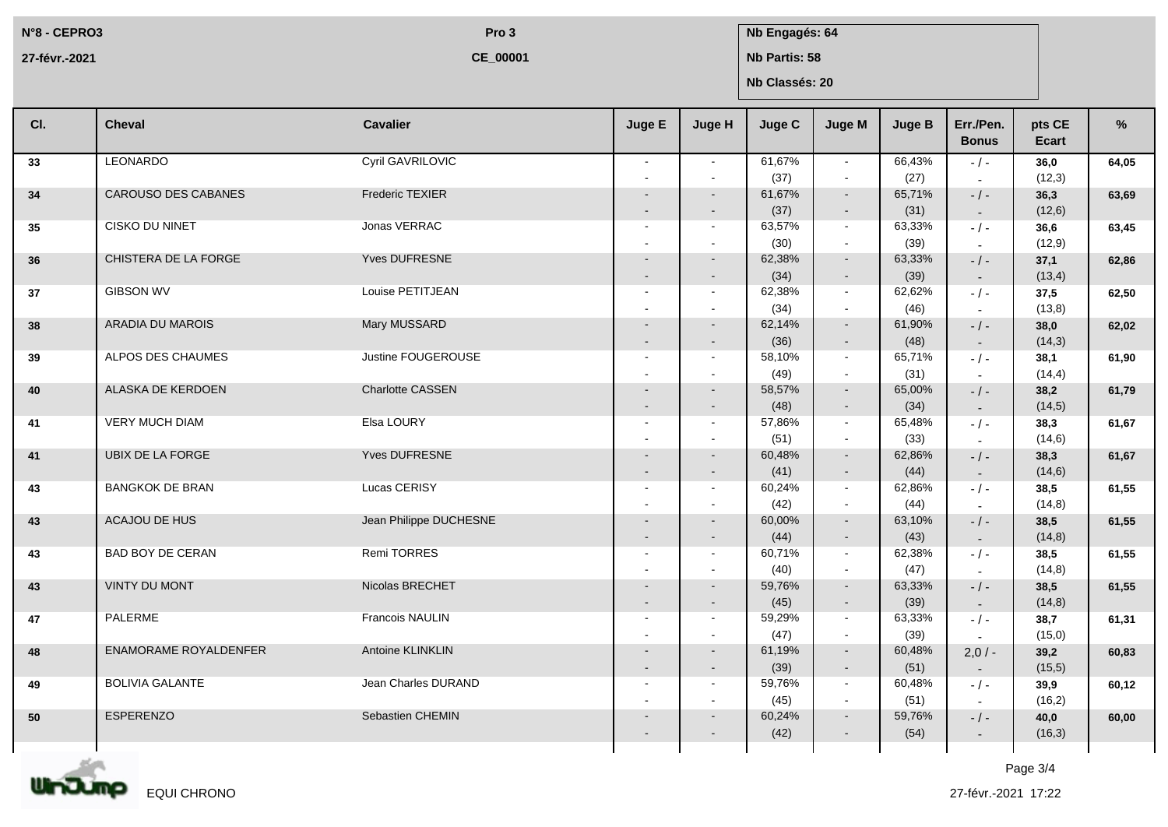**N°8 - CEPRO3 27-févr.-2021**

**CE\_00001**

**Pro 3 Nb Engagés: 64** 

**Nb Partis: 58**

**Nb Classés: 20**

| CI. | <b>Cheval</b>           | <b>Cavalier</b>        | Juge E                   | Juge H           | Juge C         | Juge M                   | <b>Juge B</b>  | Err./Pen.<br><b>Bonus</b> | pts CE<br>Ecart | %     |
|-----|-------------------------|------------------------|--------------------------|------------------|----------------|--------------------------|----------------|---------------------------|-----------------|-------|
| 33  | LEONARDO                | Cyril GAVRILOVIC       | $\sim$                   | $\sim$           | 61,67%         | $\sim$                   | 66,43%         | $-$ / $-$                 | 36,0            | 64,05 |
|     |                         |                        |                          |                  | (37)           | $\sim$                   | (27)           |                           | (12,3)          |       |
| 34  | CAROUSO DES CABANES     | Frederic TEXIER        |                          |                  | 61,67%         | $\sim$                   | 65,71%         | $-$ / $-$                 | 36,3            | 63,69 |
|     |                         |                        |                          | $\sim$           | (37)           | $\sim$                   | (31)           | $\sim$                    | (12,6)          |       |
| 35  | CISKO DU NINET          | Jonas VERRAC           | $\overline{\phantom{a}}$ | $\sim$           | 63,57%         | $\sim$                   | 63,33%         | $-$ / $-$                 | 36,6            | 63,45 |
|     |                         |                        |                          |                  | (30)           | $\blacksquare$           | (39)           | $\sim$                    | (12, 9)         |       |
| 36  | CHISTERA DE LA FORGE    | Yves DUFRESNE          |                          |                  | 62,38%         | $\sim$                   | 63,33%         | $-/-$                     | 37,1            | 62,86 |
|     |                         |                        |                          |                  | (34)           | $\sim$                   | (39)           | $\sim$                    | (13,4)          |       |
| 37  | <b>GIBSON WV</b>        | Louise PETITJEAN       | $\overline{\phantom{a}}$ | $\sim$           | 62,38%         | $\sim$                   | 62,62%         | $-$ / $-$                 | 37,5            | 62,50 |
|     |                         |                        |                          |                  | (34)           | $\sim$                   | (46)           | $\sim$                    | (13,8)          |       |
| 38  | <b>ARADIA DU MAROIS</b> | Mary MUSSARD           |                          |                  | 62,14%         | $\sim$                   | 61,90%         | $-$ / $-$                 | 38,0            | 62,02 |
|     |                         |                        |                          |                  | (36)           | $\sim$                   | (48)           | $\sim$                    | (14,3)          |       |
| 39  | ALPOS DES CHAUMES       | Justine FOUGEROUSE     | $\overline{\phantom{a}}$ | $\sim$           | 58,10%         | $\sim$                   | 65,71%         | $-$ / $-$                 | 38,1            | 61,90 |
|     |                         |                        |                          |                  | (49)           | $\sim$                   | (31)           | $\overline{\phantom{a}}$  | (14, 4)         |       |
| 40  | ALASKA DE KERDOEN       | Charlotte CASSEN       |                          |                  | 58,57%         | $\sim$                   | 65,00%         | $-$ / $-$                 | 38,2            | 61,79 |
|     |                         |                        |                          |                  | (48)           | $\sim$                   | (34)           | $\sim$                    | (14,5)          |       |
| 41  | <b>VERY MUCH DIAM</b>   | Elsa LOURY             | $\blacksquare$           | $\sim$           | 57,86%         | $\sim$                   | 65,48%         | $-$ / $-$                 | 38,3            | 61,67 |
|     |                         |                        |                          |                  | (51)           | $\sim$                   | (33)           | $\sim$                    | (14, 6)         |       |
| 41  | UBIX DE LA FORGE        | Yves DUFRESNE          |                          |                  | 60,48%         | $\sim$                   | 62,86%         | $-$ / $-$                 | 38,3            | 61,67 |
|     |                         |                        |                          |                  | (41)           | $\sim$                   | (44)           | $\sim$                    | (14, 6)         |       |
| 43  | <b>BANGKOK DE BRAN</b>  | Lucas CERISY           | $\sim$                   | $\sim$           | 60,24%         | $\sim$                   | 62,86%         | $-$ / $-$                 | 38,5            | 61,55 |
|     | ACAJOU DE HUS           | Jean Philippe DUCHESNE |                          |                  | (42)           | $\sim$                   | (44)<br>63,10% | $\overline{\phantom{a}}$  | (14, 8)         |       |
| 43  |                         |                        |                          |                  | 60,00%         | $\sim$                   |                | $-$ / $-$                 | 38,5<br>(14,8)  | 61,55 |
|     | <b>BAD BOY DE CERAN</b> | <b>Remi TORRES</b>     | $\overline{\phantom{a}}$ | $\sim$<br>$\sim$ | (44)<br>60,71% | $\sim$<br>$\sim$         | (43)<br>62.38% | $\sim$                    |                 |       |
| 43  |                         |                        |                          |                  | (40)           | $\sim$                   | (47)           | $-$ / $-$                 | 38,5<br>(14, 8) | 61,55 |
| 43  | <b>VINTY DU MONT</b>    | Nicolas BRECHET        |                          |                  | 59,76%         | $\sim$                   | 63,33%         | $\sim$<br>$-$ / $-$       | 38,5            | 61.55 |
|     |                         |                        |                          |                  | (45)           | $\sim$                   | (39)           |                           | (14,8)          |       |
| 47  | PALERME                 | Francois NAULIN        | $\sim$                   | $\sim$           | 59,29%         | $\sim$                   | 63,33%         | $\sim$<br>$-$ / $-$       | 38,7            | 61,31 |
|     |                         |                        |                          |                  | (47)           | $\sim$                   | (39)           |                           | (15,0)          |       |
| 48  | ENAMORAME ROYALDENFER   | Antoine KLINKLIN       |                          | $\sim$           | 61,19%         | $\sim$                   | 60,48%         | $2,0/-$                   | 39,2            | 60,83 |
|     |                         |                        |                          | $\sim$           | (39)           | $\sim$                   | (51)           | $\sim$                    | (15,5)          |       |
| 49  | <b>BOLIVIA GALANTE</b>  | Jean Charles DURAND    | $\sim$                   | $\sim$           | 59,76%         | $\sim$                   | 60,48%         | $-/-$                     | 39,9            | 60,12 |
|     |                         |                        |                          |                  | (45)           | $\sim$                   | (51)           | $\sim$                    | (16,2)          |       |
| 50  | <b>ESPERENZO</b>        | Sebastien CHEMIN       |                          |                  | 60,24%         | $\sim$                   | 59,76%         | $-$ / $-$                 | 40,0            | 60,00 |
|     |                         |                        |                          |                  | (42)           | $\overline{\phantom{a}}$ | (54)           | $\sim$                    | (16,3)          |       |
|     |                         |                        |                          |                  |                |                          |                |                           |                 |       |
|     |                         |                        |                          |                  |                |                          |                |                           |                 |       |

Unding EQUI CHRONO

Page 3/4